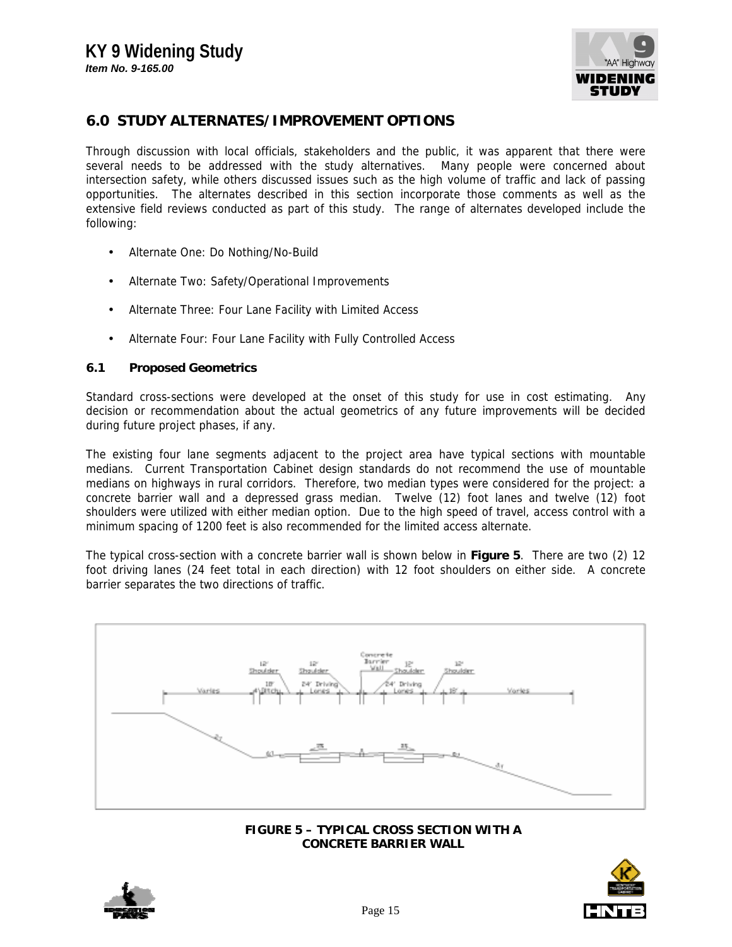

## **6.0 STUDY ALTERNATES/IMPROVEMENT OPTIONS**

Through discussion with local officials, stakeholders and the public, it was apparent that there were several needs to be addressed with the study alternatives. Many people were concerned about intersection safety, while others discussed issues such as the high volume of traffic and lack of passing opportunities. The alternates described in this section incorporate those comments as well as the extensive field reviews conducted as part of this study. The range of alternates developed include the following:

- Alternate One: Do Nothing/No-Build
- Alternate Two: Safety/Operational Improvements
- Alternate Three: Four Lane Facility with Limited Access
- Alternate Four: Four Lane Facility with Fully Controlled Access

#### **6.1 Proposed Geometrics**

Standard cross-sections were developed at the onset of this study for use in cost estimating. Any decision or recommendation about the actual geometrics of any future improvements will be decided during future project phases, if any.

The existing four lane segments adjacent to the project area have typical sections with mountable medians. Current Transportation Cabinet design standards do not recommend the use of mountable medians on highways in rural corridors. Therefore, two median types were considered for the project: a concrete barrier wall and a depressed grass median. Twelve (12) foot lanes and twelve (12) foot shoulders were utilized with either median option. Due to the high speed of travel, access control with a minimum spacing of 1200 feet is also recommended for the limited access alternate.

The typical cross-section with a concrete barrier wall is shown below in **Figure 5**. There are two (2) 12 foot driving lanes (24 feet total in each direction) with 12 foot shoulders on either side. A concrete barrier separates the two directions of traffic.



**FIGURE 5 – TYPICAL CROSS SECTION WITH A CONCRETE BARRIER WALL**



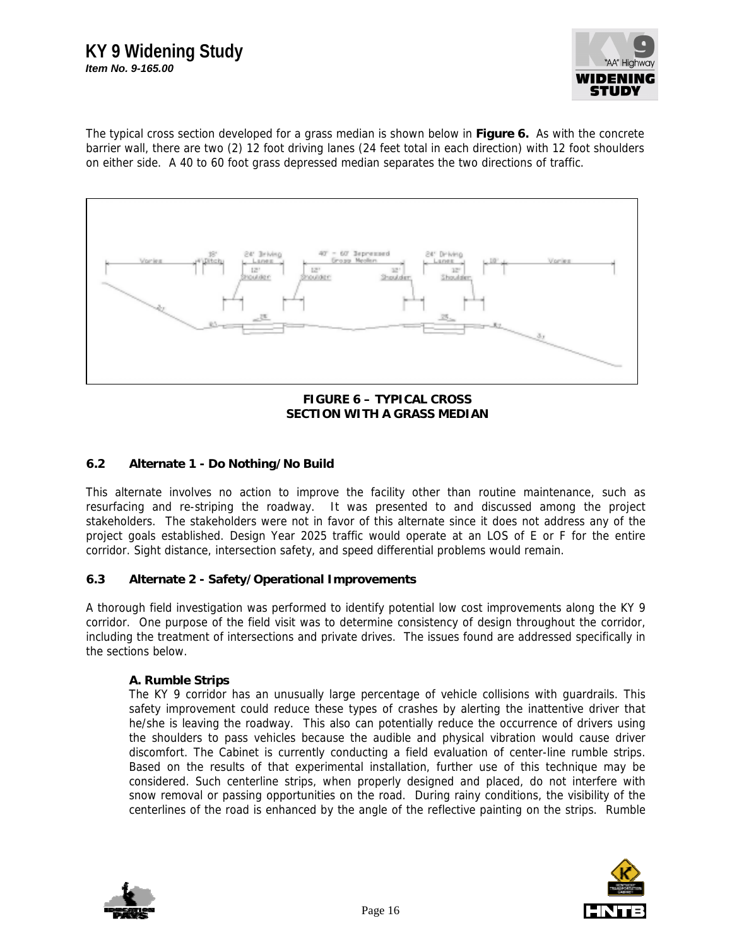## **KY 9 Widening Study** *Item No. 9-165.00*



The typical cross section developed for a grass median is shown below in **Figure 6.** As with the concrete barrier wall, there are two (2) 12 foot driving lanes (24 feet total in each direction) with 12 foot shoulders on either side. A 40 to 60 foot grass depressed median separates the two directions of traffic.



**FIGURE 6 – TYPICAL CROSS SECTION WITH A GRASS MEDIAN**

## **6.2 Alternate 1 - Do Nothing/No Build**

This alternate involves no action to improve the facility other than routine maintenance, such as resurfacing and re-striping the roadway. It was presented to and discussed among the project stakeholders. The stakeholders were not in favor of this alternate since it does not address any of the project goals established. Design Year 2025 traffic would operate at an LOS of E or F for the entire corridor. Sight distance, intersection safety, and speed differential problems would remain.

## **6.3 Alternate 2 - Safety/Operational Improvements**

A thorough field investigation was performed to identify potential low cost improvements along the KY 9 corridor. One purpose of the field visit was to determine consistency of design throughout the corridor, including the treatment of intersections and private drives. The issues found are addressed specifically in the sections below.

#### **A. Rumble Strips**

The KY 9 corridor has an unusually large percentage of vehicle collisions with guardrails. This safety improvement could reduce these types of crashes by alerting the inattentive driver that he/she is leaving the roadway. This also can potentially reduce the occurrence of drivers using the shoulders to pass vehicles because the audible and physical vibration would cause driver discomfort. The Cabinet is currently conducting a field evaluation of center-line rumble strips. Based on the results of that experimental installation, further use of this technique may be considered. Such centerline strips, when properly designed and placed, do not interfere with snow removal or passing opportunities on the road. During rainy conditions, the visibility of the centerlines of the road is enhanced by the angle of the reflective painting on the strips. Rumble



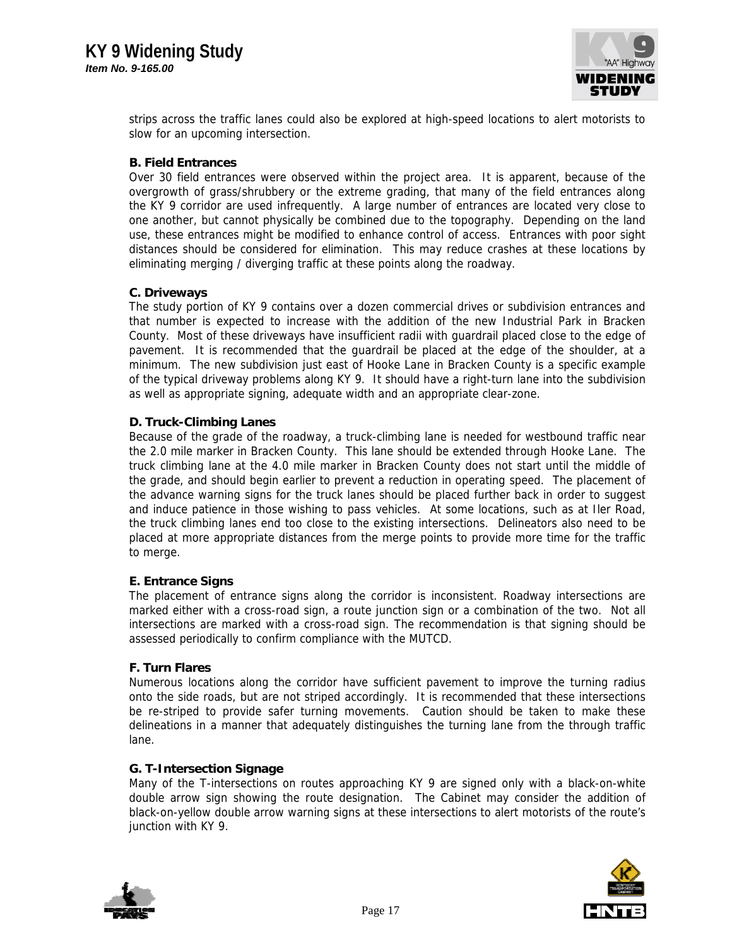

strips across the traffic lanes could also be explored at high-speed locations to alert motorists to slow for an upcoming intersection.

#### **B. Field Entrances**

Over 30 field entrances were observed within the project area. It is apparent, because of the overgrowth of grass/shrubbery or the extreme grading, that many of the field entrances along the KY 9 corridor are used infrequently. A large number of entrances are located very close to one another, but cannot physically be combined due to the topography. Depending on the land use, these entrances might be modified to enhance control of access. Entrances with poor sight distances should be considered for elimination. This may reduce crashes at these locations by eliminating merging / diverging traffic at these points along the roadway.

#### **C. Driveways**

The study portion of KY 9 contains over a dozen commercial drives or subdivision entrances and that number is expected to increase with the addition of the new Industrial Park in Bracken County. Most of these driveways have insufficient radii with guardrail placed close to the edge of pavement. It is recommended that the guardrail be placed at the edge of the shoulder, at a minimum. The new subdivision just east of Hooke Lane in Bracken County is a specific example of the typical driveway problems along KY 9. It should have a right-turn lane into the subdivision as well as appropriate signing, adequate width and an appropriate clear-zone.

#### **D. Truck-Climbing Lanes**

Because of the grade of the roadway, a truck-climbing lane is needed for westbound traffic near the 2.0 mile marker in Bracken County. This lane should be extended through Hooke Lane. The truck climbing lane at the 4.0 mile marker in Bracken County does not start until the middle of the grade, and should begin earlier to prevent a reduction in operating speed. The placement of the advance warning signs for the truck lanes should be placed further back in order to suggest and induce patience in those wishing to pass vehicles. At some locations, such as at Iler Road, the truck climbing lanes end too close to the existing intersections. Delineators also need to be placed at more appropriate distances from the merge points to provide more time for the traffic to merge.

## **E. Entrance Signs**

The placement of entrance signs along the corridor is inconsistent. Roadway intersections are marked either with a cross-road sign, a route junction sign or a combination of the two. Not all intersections are marked with a cross-road sign. The recommendation is that signing should be assessed periodically to confirm compliance with the MUTCD.

#### **F. Turn Flares**

Numerous locations along the corridor have sufficient pavement to improve the turning radius onto the side roads, but are not striped accordingly. It is recommended that these intersections be re-striped to provide safer turning movements. Caution should be taken to make these delineations in a manner that adequately distinguishes the turning lane from the through traffic lane.

#### **G. T-Intersection Signage**

Many of the T-intersections on routes approaching KY 9 are signed only with a black-on-white double arrow sign showing the route designation. The Cabinet may consider the addition of black-on-yellow double arrow warning signs at these intersections to alert motorists of the route's junction with KY 9.



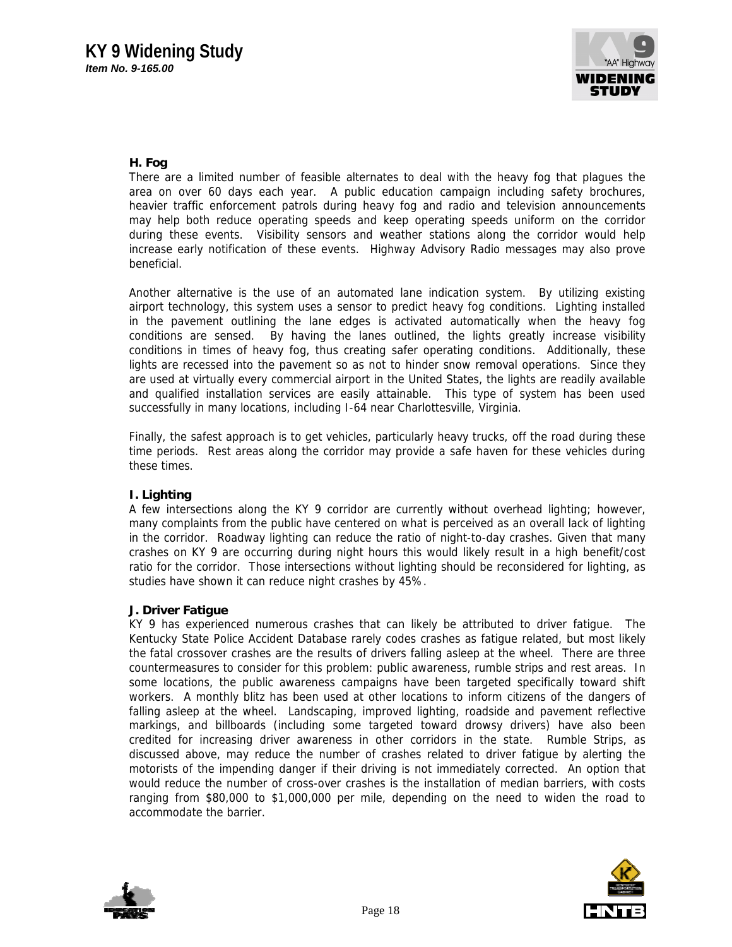

## **H. Fog**

There are a limited number of feasible alternates to deal with the heavy fog that plagues the area on over 60 days each year. A public education campaign including safety brochures, heavier traffic enforcement patrols during heavy fog and radio and television announcements may help both reduce operating speeds and keep operating speeds uniform on the corridor during these events. Visibility sensors and weather stations along the corridor would help increase early notification of these events. Highway Advisory Radio messages may also prove beneficial.

Another alternative is the use of an automated lane indication system. By utilizing existing airport technology, this system uses a sensor to predict heavy fog conditions. Lighting installed in the pavement outlining the lane edges is activated automatically when the heavy fog conditions are sensed. By having the lanes outlined, the lights greatly increase visibility conditions in times of heavy fog, thus creating safer operating conditions. Additionally, these lights are recessed into the pavement so as not to hinder snow removal operations. Since they are used at virtually every commercial airport in the United States, the lights are readily available and qualified installation services are easily attainable. This type of system has been used successfully in many locations, including I-64 near Charlottesville, Virginia.

Finally, the safest approach is to get vehicles, particularly heavy trucks, off the road during these time periods. Rest areas along the corridor may provide a safe haven for these vehicles during these times.

## **I. Lighting**

A few intersections along the KY 9 corridor are currently without overhead lighting; however, many complaints from the public have centered on what is perceived as an overall lack of lighting in the corridor. Roadway lighting can reduce the ratio of night-to-day crashes. Given that many crashes on KY 9 are occurring during night hours this would likely result in a high benefit/cost ratio for the corridor. Those intersections without lighting should be reconsidered for lighting, as studies have shown it can reduce night crashes by 45%.

#### **J. Driver Fatigue**

KY 9 has experienced numerous crashes that can likely be attributed to driver fatigue. The Kentucky State Police Accident Database rarely codes crashes as fatigue related, but most likely the fatal crossover crashes are the results of drivers falling asleep at the wheel. There are three countermeasures to consider for this problem: public awareness, rumble strips and rest areas. In some locations, the public awareness campaigns have been targeted specifically toward shift workers. A monthly blitz has been used at other locations to inform citizens of the dangers of falling asleep at the wheel. Landscaping, improved lighting, roadside and pavement reflective markings, and billboards (including some targeted toward drowsy drivers) have also been credited for increasing driver awareness in other corridors in the state. Rumble Strips, as discussed above, may reduce the number of crashes related to driver fatigue by alerting the motorists of the impending danger if their driving is not immediately corrected. An option that would reduce the number of cross-over crashes is the installation of median barriers, with costs ranging from \$80,000 to \$1,000,000 per mile, depending on the need to widen the road to accommodate the barrier.



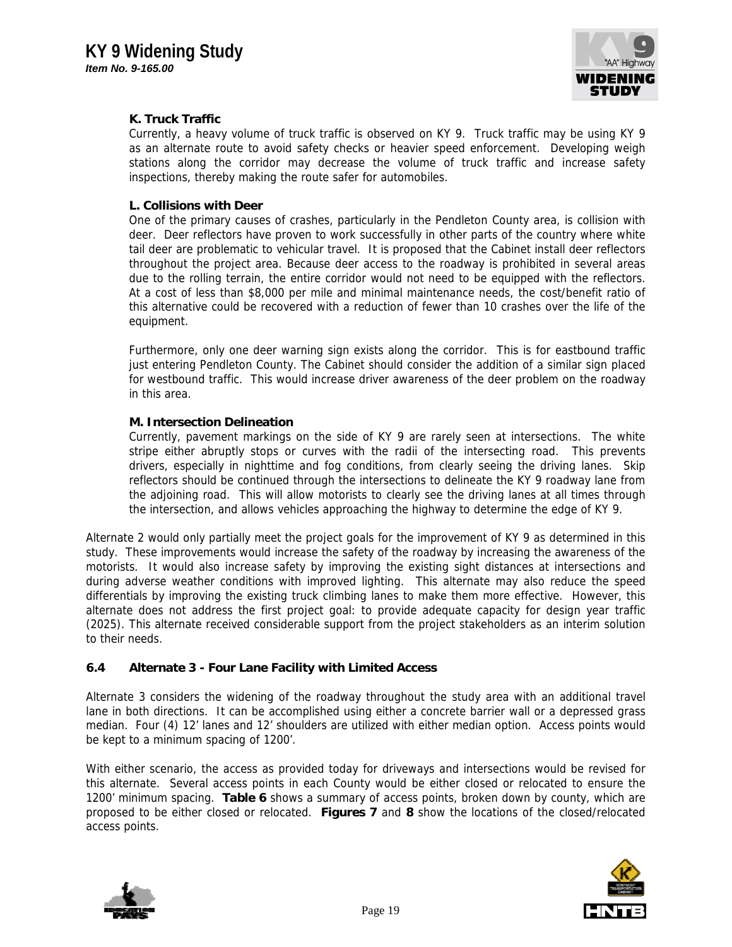

## **K. Truck Traffic**

Currently, a heavy volume of truck traffic is observed on KY 9. Truck traffic may be using KY 9 as an alternate route to avoid safety checks or heavier speed enforcement. Developing weigh stations along the corridor may decrease the volume of truck traffic and increase safety inspections, thereby making the route safer for automobiles.

#### **L. Collisions with Deer**

One of the primary causes of crashes, particularly in the Pendleton County area, is collision with deer. Deer reflectors have proven to work successfully in other parts of the country where white tail deer are problematic to vehicular travel. It is proposed that the Cabinet install deer reflectors throughout the project area. Because deer access to the roadway is prohibited in several areas due to the rolling terrain, the entire corridor would not need to be equipped with the reflectors. At a cost of less than \$8,000 per mile and minimal maintenance needs, the cost/benefit ratio of this alternative could be recovered with a reduction of fewer than 10 crashes over the life of the equipment.

Furthermore, only one deer warning sign exists along the corridor. This is for eastbound traffic just entering Pendleton County. The Cabinet should consider the addition of a similar sign placed for westbound traffic. This would increase driver awareness of the deer problem on the roadway in this area.

#### **M. Intersection Delineation**

Currently, pavement markings on the side of KY 9 are rarely seen at intersections. The white stripe either abruptly stops or curves with the radii of the intersecting road. This prevents drivers, especially in nighttime and fog conditions, from clearly seeing the driving lanes. Skip reflectors should be continued through the intersections to delineate the KY 9 roadway lane from the adjoining road. This will allow motorists to clearly see the driving lanes at all times through the intersection, and allows vehicles approaching the highway to determine the edge of KY 9.

Alternate 2 would only partially meet the project goals for the improvement of KY 9 as determined in this study. These improvements would increase the safety of the roadway by increasing the awareness of the motorists. It would also increase safety by improving the existing sight distances at intersections and during adverse weather conditions with improved lighting. This alternate may also reduce the speed differentials by improving the existing truck climbing lanes to make them more effective. However, this alternate does not address the first project goal: to provide adequate capacity for design year traffic (2025). This alternate received considerable support from the project stakeholders as an interim solution to their needs.

## **6.4 Alternate 3 - Four Lane Facility with Limited Access**

Alternate 3 considers the widening of the roadway throughout the study area with an additional travel lane in both directions. It can be accomplished using either a concrete barrier wall or a depressed grass median. Four (4) 12' lanes and 12' shoulders are utilized with either median option. Access points would be kept to a minimum spacing of 1200'.

With either scenario, the access as provided today for driveways and intersections would be revised for this alternate. Several access points in each County would be either closed or relocated to ensure the 1200' minimum spacing. **Table 6** shows a summary of access points, broken down by county, which are proposed to be either closed or relocated. **Figures 7** and **8** show the locations of the closed/relocated access points.



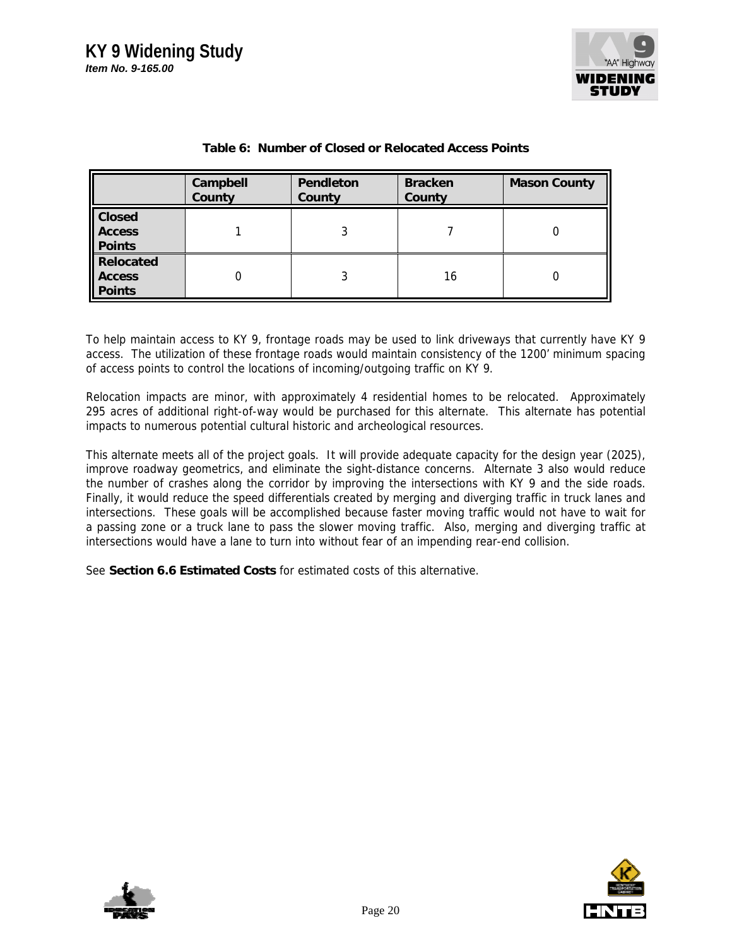

|                                                 | Campbell<br>County | Pendleton<br>County | <b>Bracken</b><br>County | <b>Mason County</b> |
|-------------------------------------------------|--------------------|---------------------|--------------------------|---------------------|
| <b>Closed</b><br><b>Access</b><br><b>Points</b> |                    |                     |                          |                     |
| Relocated<br>II Access<br><b>Points</b>         |                    |                     | 16                       |                     |

## **Table 6: Number of Closed or Relocated Access Points**

To help maintain access to KY 9, frontage roads may be used to link driveways that currently have KY 9 access. The utilization of these frontage roads would maintain consistency of the 1200' minimum spacing of access points to control the locations of incoming/outgoing traffic on KY 9.

Relocation impacts are minor, with approximately 4 residential homes to be relocated. Approximately 295 acres of additional right-of-way would be purchased for this alternate. This alternate has potential impacts to numerous potential cultural historic and archeological resources.

This alternate meets all of the project goals. It will provide adequate capacity for the design year (2025), improve roadway geometrics, and eliminate the sight-distance concerns. Alternate 3 also would reduce the number of crashes along the corridor by improving the intersections with KY 9 and the side roads. Finally, it would reduce the speed differentials created by merging and diverging traffic in truck lanes and intersections. These goals will be accomplished because faster moving traffic would not have to wait for a passing zone or a truck lane to pass the slower moving traffic. Also, merging and diverging traffic at intersections would have a lane to turn into without fear of an impending rear-end collision.

See **Section 6.6 Estimated Costs** for estimated costs of this alternative.



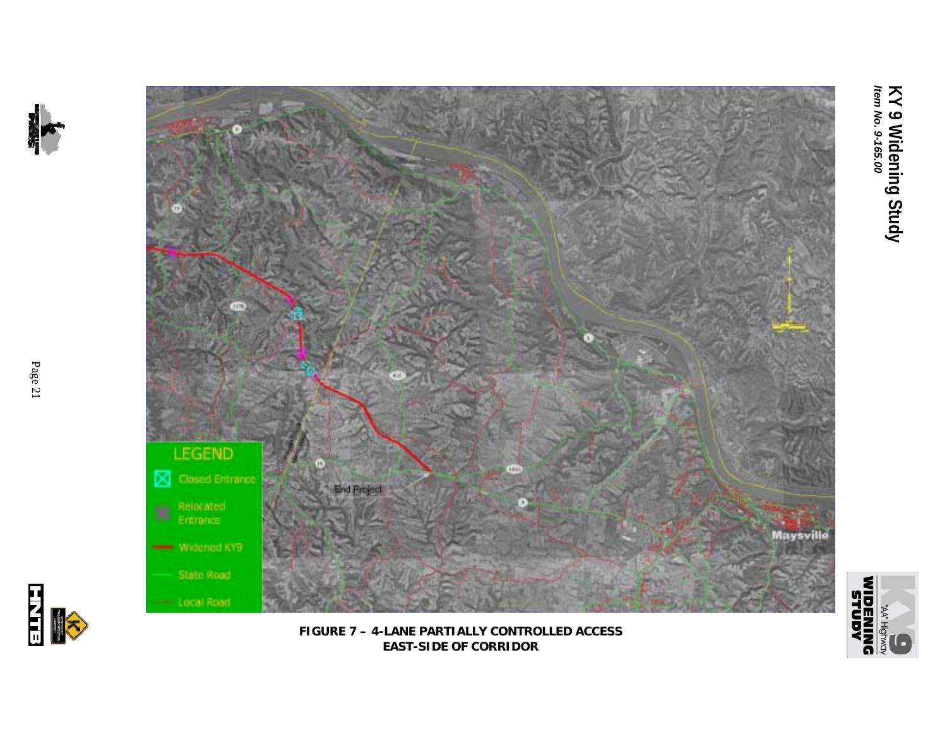





**FIGURE 7 – 4-LANE PARTIALLY CONTROLLED ACCESS EAST-SIDE OF CORRIDOR**

H<br>H<br>H<br>G<br>H<br>G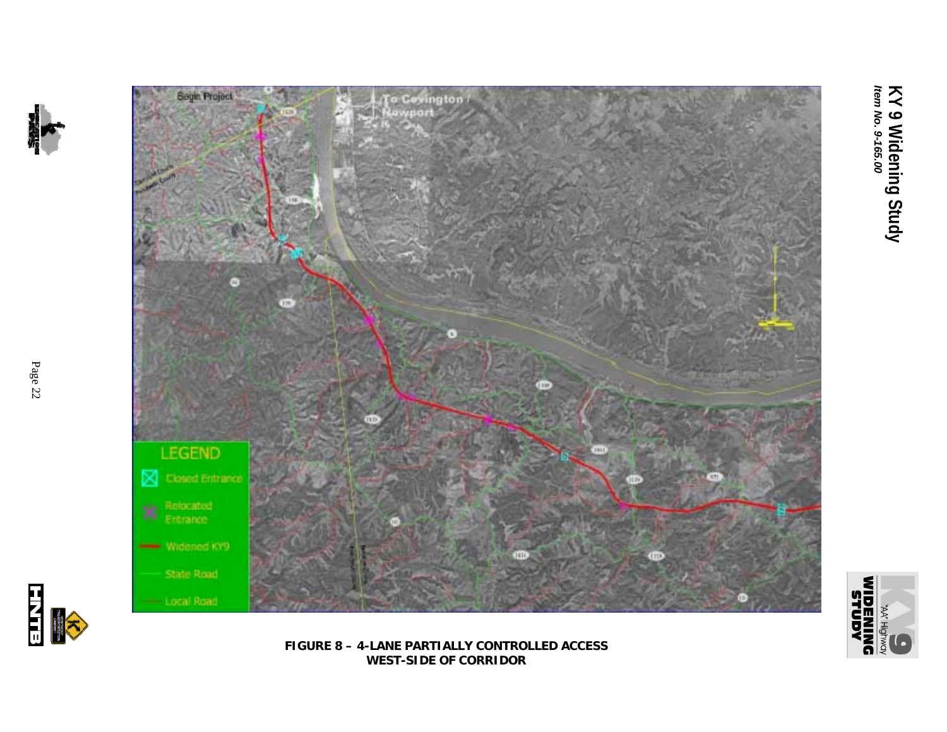



**FIGURE 8 – 4-LANE PARTIALLY CONTROLLED ACCESS WEST-SIDE OF CORRIDOR**

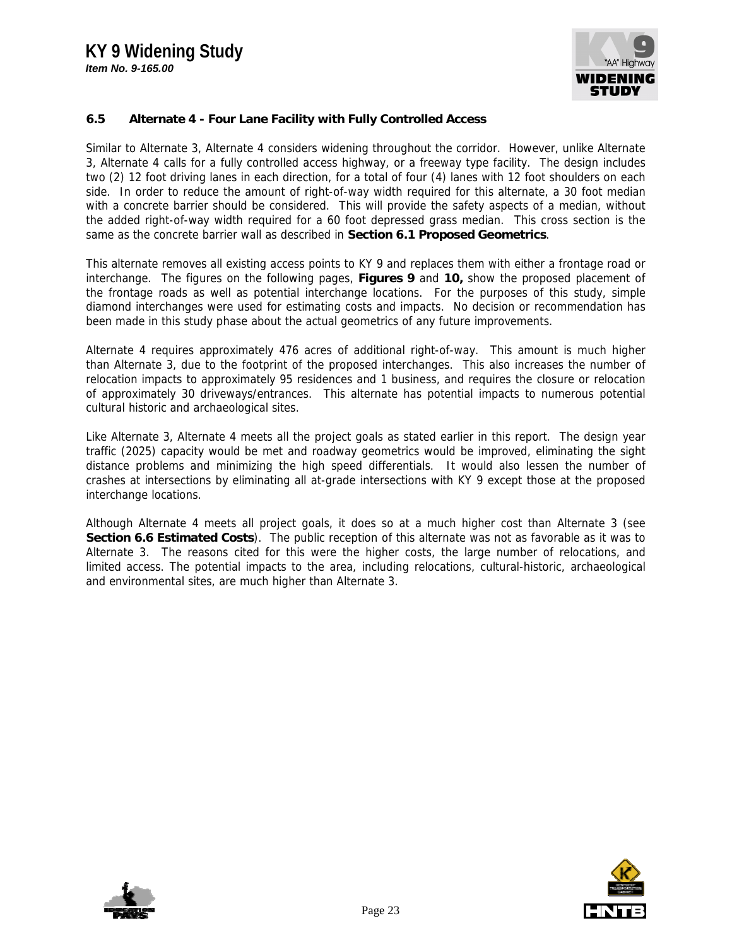# **KY 9 Widening Study**

*Item No. 9-165.00*



## **6.5 Alternate 4 - Four Lane Facility with Fully Controlled Access**

Similar to Alternate 3, Alternate 4 considers widening throughout the corridor. However, unlike Alternate 3, Alternate 4 calls for a fully controlled access highway, or a freeway type facility. The design includes two (2) 12 foot driving lanes in each direction, for a total of four (4) lanes with 12 foot shoulders on each side. In order to reduce the amount of right-of-way width required for this alternate, a 30 foot median with a concrete barrier should be considered. This will provide the safety aspects of a median, without the added right-of-way width required for a 60 foot depressed grass median. This cross section is the same as the concrete barrier wall as described in **Section 6.1 Proposed Geometrics**.

This alternate removes all existing access points to KY 9 and replaces them with either a frontage road or interchange. The figures on the following pages, **Figures 9** and **10,** show the proposed placement of the frontage roads as well as potential interchange locations. For the purposes of this study, simple diamond interchanges were used for estimating costs and impacts. No decision or recommendation has been made in this study phase about the actual geometrics of any future improvements.

Alternate 4 requires approximately 476 acres of additional right-of-way. This amount is much higher than Alternate 3, due to the footprint of the proposed interchanges. This also increases the number of relocation impacts to approximately 95 residences and 1 business, and requires the closure or relocation of approximately 30 driveways/entrances. This alternate has potential impacts to numerous potential cultural historic and archaeological sites.

Like Alternate 3, Alternate 4 meets all the project goals as stated earlier in this report. The design year traffic (2025) capacity would be met and roadway geometrics would be improved, eliminating the sight distance problems and minimizing the high speed differentials. It would also lessen the number of crashes at intersections by eliminating all at-grade intersections with KY 9 except those at the proposed interchange locations.

Although Alternate 4 meets all project goals, it does so at a much higher cost than Alternate 3 (see **Section 6.6 Estimated Costs**). The public reception of this alternate was not as favorable as it was to Alternate 3. The reasons cited for this were the higher costs, the large number of relocations, and limited access. The potential impacts to the area, including relocations, cultural-historic, archaeological and environmental sites, are much higher than Alternate 3.



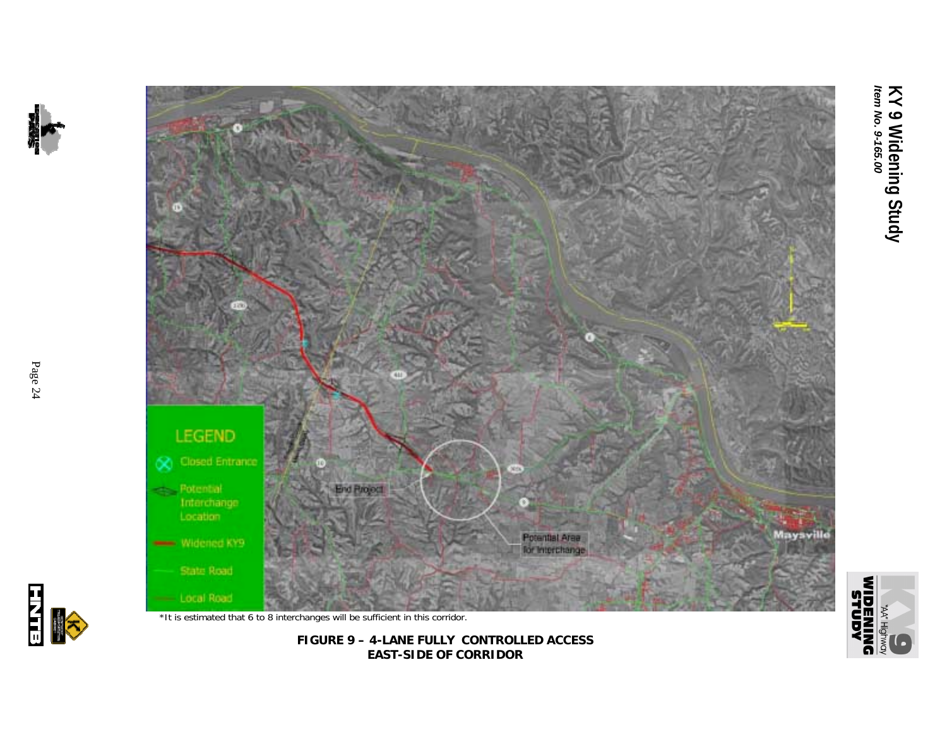



**FIGURE 9 – 4-LANE FULLY CONTROLLED ACCESS EAST-SIDE OF CORRIDOR**

Page 24



**AQNINS**<br>**DNINBENIM**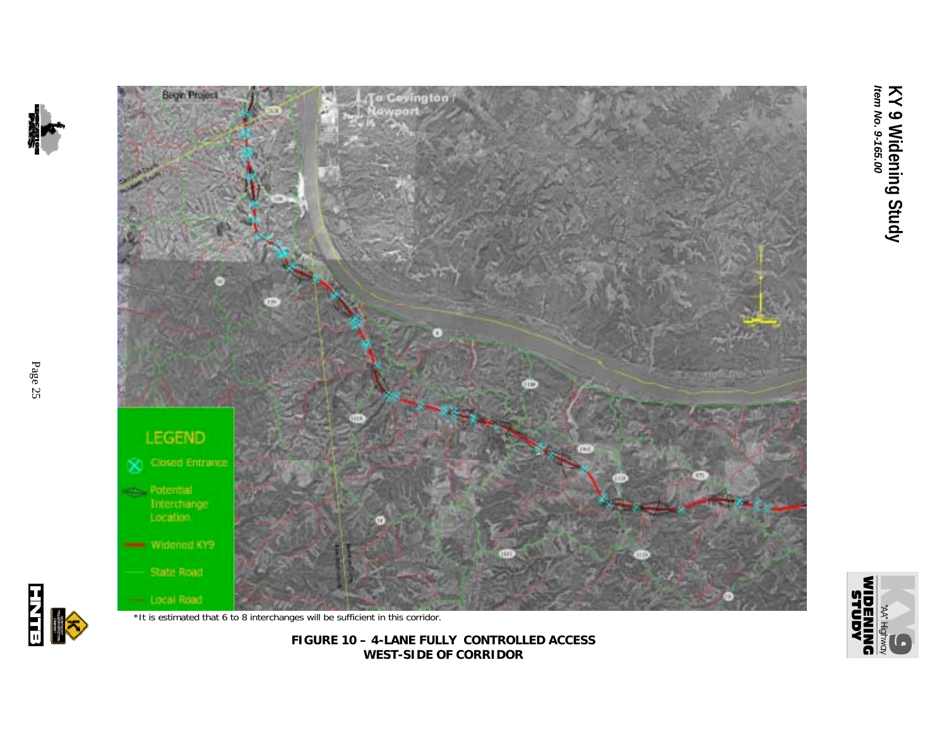



**FIGURE 10 – 4-LANE FULLY CONTROLLED ACCESS WEST-SIDE OF CORRIDOR**